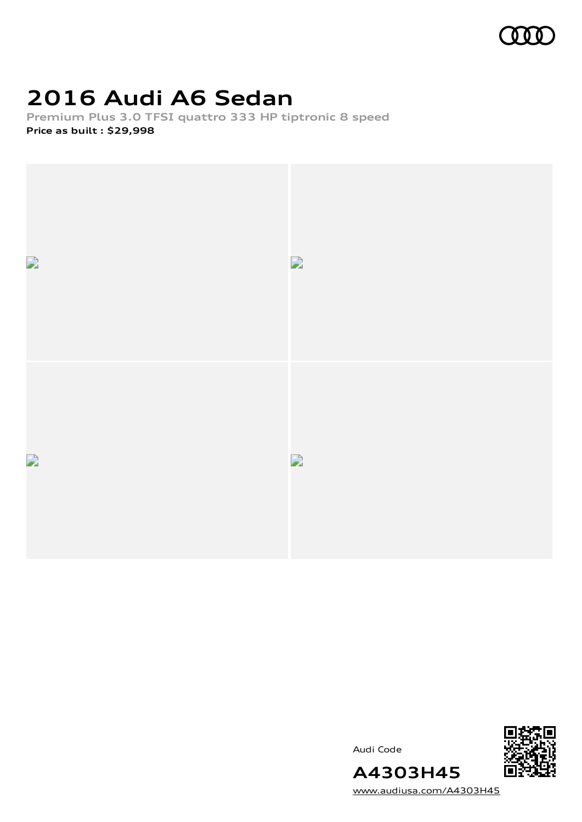

# **2016 Audi A6 Sedan**

**Premium Plus 3.0 TFSI quattro 333 HP tiptronic 8 speed Price as built [:](#page-10-0) \$29,998**



Audi Code



[www.audiusa.com/A4303H45](https://www.audiusa.com/A4303H45)

**A4303H45**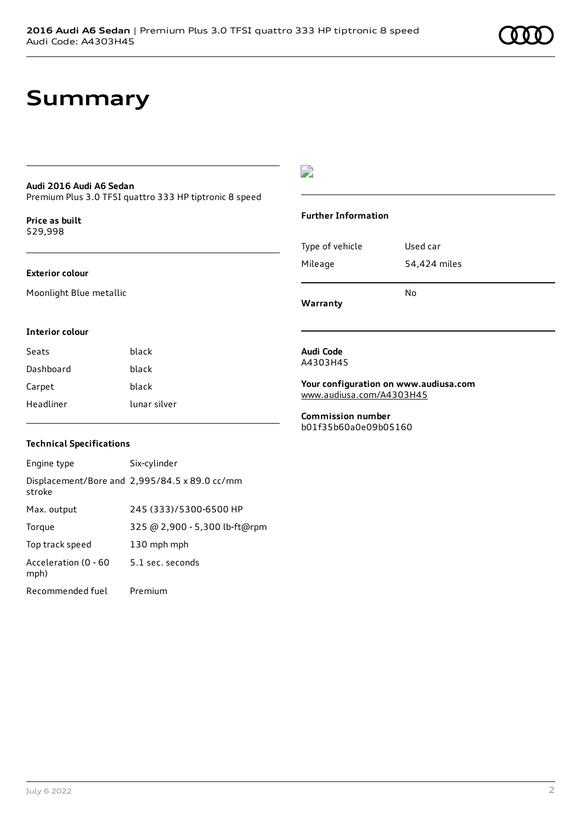### **Summary**

#### **Audi 2016 Audi A6 Sedan**

Premium Plus 3.0 TFSI quattro 333 HP tiptronic 8 speed

**Price as buil[t](#page-10-0)** \$29,998

#### **Exterior colour**

Moonlight Blue metallic

### $\overline{\phantom{a}}$

#### **Further Information**

| Warranty        |              |
|-----------------|--------------|
|                 | N٥           |
| Mileage         | 54,424 miles |
| Type of vehicle | Used car     |

#### **Interior colour**

| Seats     | black        |
|-----------|--------------|
| Dashboard | black        |
| Carpet    | black        |
| Headliner | lunar silver |

#### **Technical Specifications**

| Engine type                  | Six-cylinder                                  |
|------------------------------|-----------------------------------------------|
| stroke                       | Displacement/Bore and 2,995/84.5 x 89.0 cc/mm |
| Max. output                  | 245 (333)/5300-6500 HP                        |
| Torque                       | 325 @ 2,900 - 5,300 lb-ft@rpm                 |
| Top track speed              | 130 mph mph                                   |
| Acceleration (0 - 60<br>mph) | 5.1 sec. seconds                              |
| Recommended fuel             | Premium                                       |

#### **Audi Code** A4303H45

**Your configuration on www.audiusa.com** [www.audiusa.com/A4303H45](https://www.audiusa.com/A4303H45)

**Commission number** b01f35b60a0e09b05160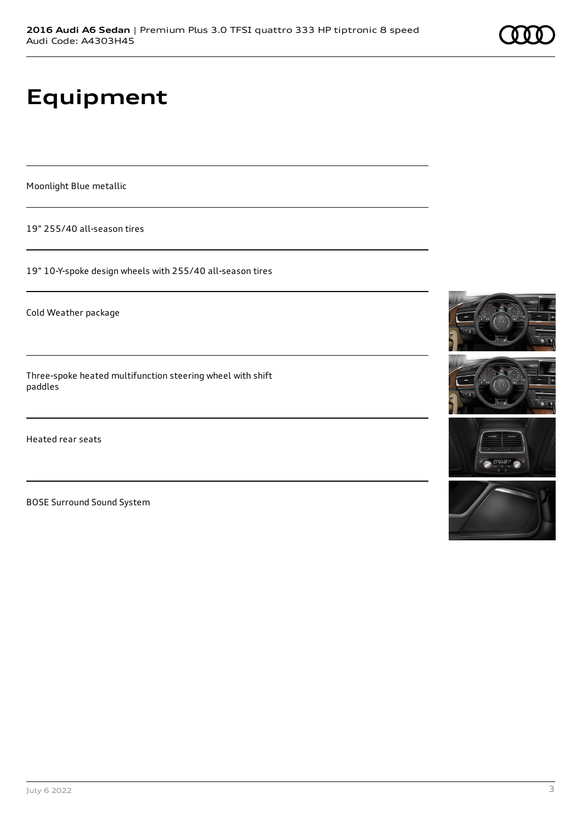# **Equipment**

Moonlight Blue metallic

19" 255/40 all-season tires

19" 10-Y-spoke design wheels with 255/40 all-season tires

Cold Weather package

Three-spoke heated multifunction steering wheel with shift paddles

Heated rear seats

BOSE Surround Sound System







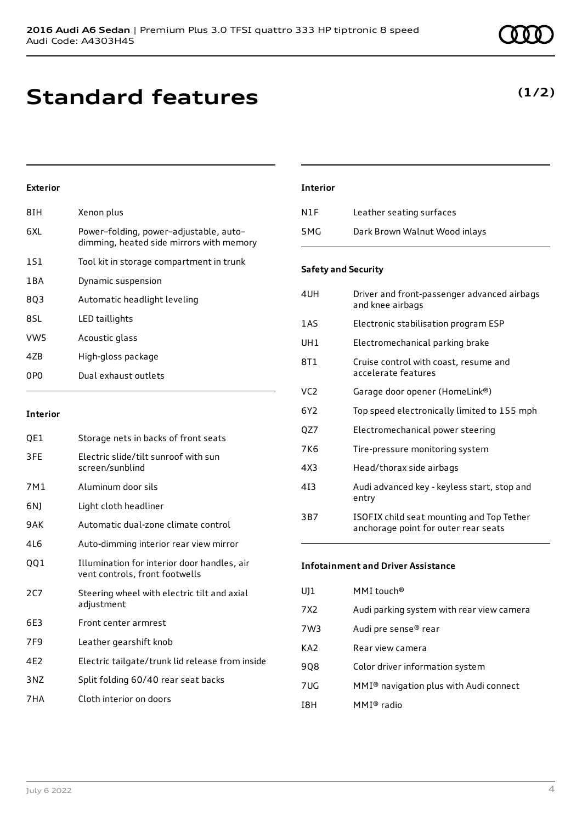# **Standard features**

### **Exterior**

| 8IH             | Xenon plus                                                                         |
|-----------------|------------------------------------------------------------------------------------|
| 6XL             | Power-folding, power-adjustable, auto-<br>dimming, heated side mirrors with memory |
| 1S1             | Tool kit in storage compartment in trunk                                           |
| 1 B A           | Dynamic suspension                                                                 |
| 803             | Automatic headlight leveling                                                       |
| 8SL             | LED taillights                                                                     |
| VW <sub>5</sub> | Acoustic glass                                                                     |
| 47 <sub>B</sub> | High-gloss package                                                                 |
| 0PO             | Dual exhaust outlets                                                               |
|                 |                                                                                    |

#### **Interior**

| QE1 | Storage nets in backs of front seats                                          |
|-----|-------------------------------------------------------------------------------|
| 3FE | Electric slide/tilt sunroof with sun<br>screen/sunblind                       |
| 7M1 | Aluminum door sils                                                            |
| 6N) | Light cloth headliner                                                         |
| 9AK | Automatic dual-zone climate control                                           |
| 4L6 | Auto-dimming interior rear view mirror                                        |
| QQ1 | Illumination for interior door handles, air<br>vent controls, front footwells |
| 2C7 | Steering wheel with electric tilt and axial<br>adjustment                     |
| 6E3 | Front center armrest                                                          |
| 7F9 | Leather gearshift knob                                                        |
| 4E2 | Electric tailgate/trunk lid release from inside                               |
| 3NZ | Split folding 60/40 rear seat backs                                           |
| 7HA | Cloth interior on doors                                                       |
|     |                                                                               |

#### **Interior**

| N1F | Leather seating surfaces      |
|-----|-------------------------------|
| 5MG | Dark Brown Walnut Wood inlays |

#### **Safety and Security**

| 4UH             | Driver and front-passenger advanced airbags<br>and knee airbags                   |
|-----------------|-----------------------------------------------------------------------------------|
| 1AS             | Electronic stabilisation program ESP                                              |
| UH1             | Electromechanical parking brake                                                   |
| 8T1             | Cruise control with coast, resume and<br>accelerate features                      |
| VC <sub>2</sub> | Garage door opener (HomeLink®)                                                    |
| 6Y2             | Top speed electronically limited to 155 mph                                       |
| QZ7             | Electromechanical power steering                                                  |
| 7K6             | Tire-pressure monitoring system                                                   |
| 4X3             | Head/thorax side airbags                                                          |
| 413             | Audi advanced key - keyless start, stop and<br>entry                              |
| 3B7             | ISOFIX child seat mounting and Top Tether<br>anchorage point for outer rear seats |

#### **Infotainment and Driver Assistance**

| $U$ ] $1$       | MMI touch <sup>®</sup>                             |
|-----------------|----------------------------------------------------|
| 7X2             | Audi parking system with rear view camera          |
| 7W3             | Audi pre sense® rear                               |
| KA <sub>2</sub> | Rear view camera                                   |
| 908             | Color driver information system                    |
| 7UG             | MMI <sup>®</sup> navigation plus with Audi connect |
| I8H             | $MMI®$ radio                                       |

### **(1/2)**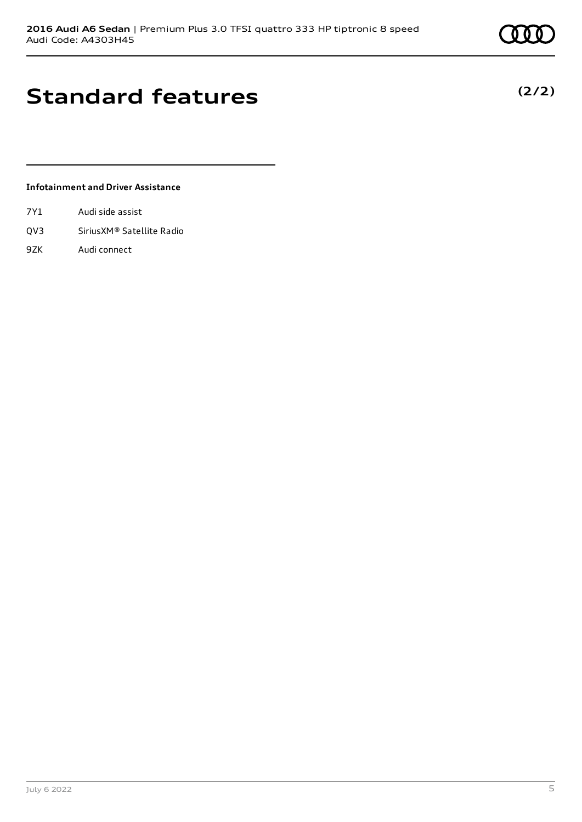### **Standard features**

**Infotainment and Driver Assistance**

- 7Y1 Audi side assist
- QV3 SiriusXM® Satellite Radio
- 9ZK Audi connect

**(2/2)**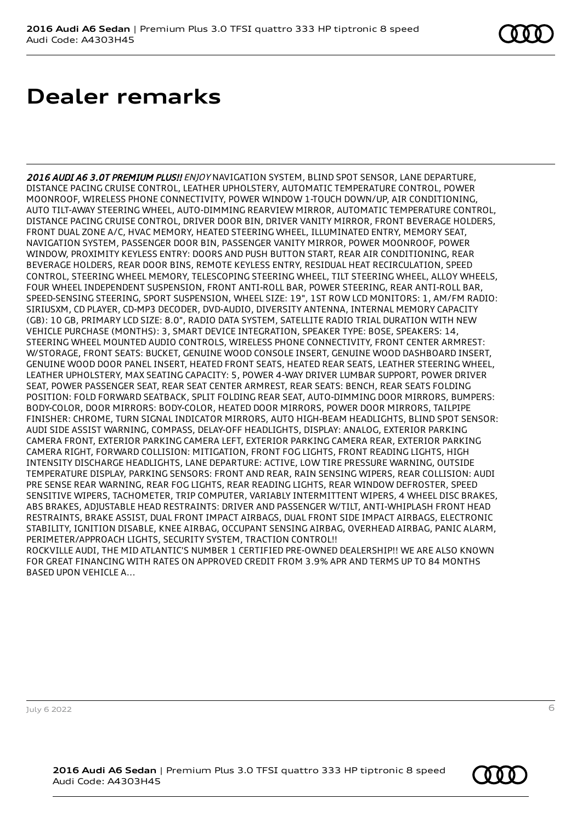# **Dealer remarks**

2016 AUDI A6 3.0T PREMIUM PLUS!! ENJOY NAVIGATION SYSTEM, BLIND SPOT SENSOR, LANE DEPARTURE, DISTANCE PACING CRUISE CONTROL, LEATHER UPHOLSTERY, AUTOMATIC TEMPERATURE CONTROL, POWER MOONROOF, WIRELESS PHONE CONNECTIVITY, POWER WINDOW 1-TOUCH DOWN/UP, AIR CONDITIONING, AUTO TILT-AWAY STEERING WHEEL, AUTO-DIMMING REARVIEW MIRROR, AUTOMATIC TEMPERATURE CONTROL, DISTANCE PACING CRUISE CONTROL, DRIVER DOOR BIN, DRIVER VANITY MIRROR, FRONT BEVERAGE HOLDERS, FRONT DUAL ZONE A/C, HVAC MEMORY, HEATED STEERING WHEEL, ILLUMINATED ENTRY, MEMORY SEAT, NAVIGATION SYSTEM, PASSENGER DOOR BIN, PASSENGER VANITY MIRROR, POWER MOONROOF, POWER WINDOW, PROXIMITY KEYLESS ENTRY: DOORS AND PUSH BUTTON START, REAR AIR CONDITIONING, REAR BEVERAGE HOLDERS, REAR DOOR BINS, REMOTE KEYLESS ENTRY, RESIDUAL HEAT RECIRCULATION, SPEED CONTROL, STEERING WHEEL MEMORY, TELESCOPING STEERING WHEEL, TILT STEERING WHEEL, ALLOY WHEELS, FOUR WHEEL INDEPENDENT SUSPENSION, FRONT ANTI-ROLL BAR, POWER STEERING, REAR ANTI-ROLL BAR, SPEED-SENSING STEERING, SPORT SUSPENSION, WHEEL SIZE: 19", 1ST ROW LCD MONITORS: 1, AM/FM RADIO: SIRIUSXM, CD PLAYER, CD-MP3 DECODER, DVD-AUDIO, DIVERSITY ANTENNA, INTERNAL MEMORY CAPACITY (GB): 10 GB, PRIMARY LCD SIZE: 8.0", RADIO DATA SYSTEM, SATELLITE RADIO TRIAL DURATION WITH NEW VEHICLE PURCHASE (MONTHS): 3, SMART DEVICE INTEGRATION, SPEAKER TYPE: BOSE, SPEAKERS: 14, STEERING WHEEL MOUNTED AUDIO CONTROLS, WIRELESS PHONE CONNECTIVITY, FRONT CENTER ARMREST: W/STORAGE, FRONT SEATS: BUCKET, GENUINE WOOD CONSOLE INSERT, GENUINE WOOD DASHBOARD INSERT, GENUINE WOOD DOOR PANEL INSERT, HEATED FRONT SEATS, HEATED REAR SEATS, LEATHER STEERING WHEEL, LEATHER UPHOLSTERY, MAX SEATING CAPACITY: 5, POWER 4-WAY DRIVER LUMBAR SUPPORT, POWER DRIVER SEAT, POWER PASSENGER SEAT, REAR SEAT CENTER ARMREST, REAR SEATS: BENCH, REAR SEATS FOLDING POSITION: FOLD FORWARD SEATBACK, SPLIT FOLDING REAR SEAT, AUTO-DIMMING DOOR MIRRORS, BUMPERS: BODY-COLOR, DOOR MIRRORS: BODY-COLOR, HEATED DOOR MIRRORS, POWER DOOR MIRRORS, TAILPIPE FINISHER: CHROME, TURN SIGNAL INDICATOR MIRRORS, AUTO HIGH-BEAM HEADLIGHTS, BLIND SPOT SENSOR: AUDI SIDE ASSIST WARNING, COMPASS, DELAY-OFF HEADLIGHTS, DISPLAY: ANALOG, EXTERIOR PARKING CAMERA FRONT, EXTERIOR PARKING CAMERA LEFT, EXTERIOR PARKING CAMERA REAR, EXTERIOR PARKING CAMERA RIGHT, FORWARD COLLISION: MITIGATION, FRONT FOG LIGHTS, FRONT READING LIGHTS, HIGH INTENSITY DISCHARGE HEADLIGHTS, LANE DEPARTURE: ACTIVE, LOW TIRE PRESSURE WARNING, OUTSIDE TEMPERATURE DISPLAY, PARKING SENSORS: FRONT AND REAR, RAIN SENSING WIPERS, REAR COLLISION: AUDI PRE SENSE REAR WARNING, REAR FOG LIGHTS, REAR READING LIGHTS, REAR WINDOW DEFROSTER, SPEED SENSITIVE WIPERS, TACHOMETER, TRIP COMPUTER, VARIABLY INTERMITTENT WIPERS, 4 WHEEL DISC BRAKES, ABS BRAKES, ADJUSTABLE HEAD RESTRAINTS: DRIVER AND PASSENGER W/TILT, ANTI-WHIPLASH FRONT HEAD RESTRAINTS, BRAKE ASSIST, DUAL FRONT IMPACT AIRBAGS, DUAL FRONT SIDE IMPACT AIRBAGS, ELECTRONIC STABILITY, IGNITION DISABLE, KNEE AIRBAG, OCCUPANT SENSING AIRBAG, OVERHEAD AIRBAG, PANIC ALARM, PERIMETER/APPROACH LIGHTS, SECURITY SYSTEM, TRACTION CONTROL!! ROCKVILLE AUDI, THE MID ATLANTIC'S NUMBER 1 CERTIFIED PRE-OWNED DEALERSHIP!! WE ARE ALSO KNOWN FOR GREAT FINANCING WITH RATES ON APPROVED CREDIT FROM 3.9% APR AND TERMS UP TO 84 MONTHS BASED UPON VEHICLE A...

July 6 2022 6

**2016 Audi A6 Sedan** | Premium Plus 3.0 TFSI quattro 333 HP tiptronic 8 speed Audi Code: A4303H45

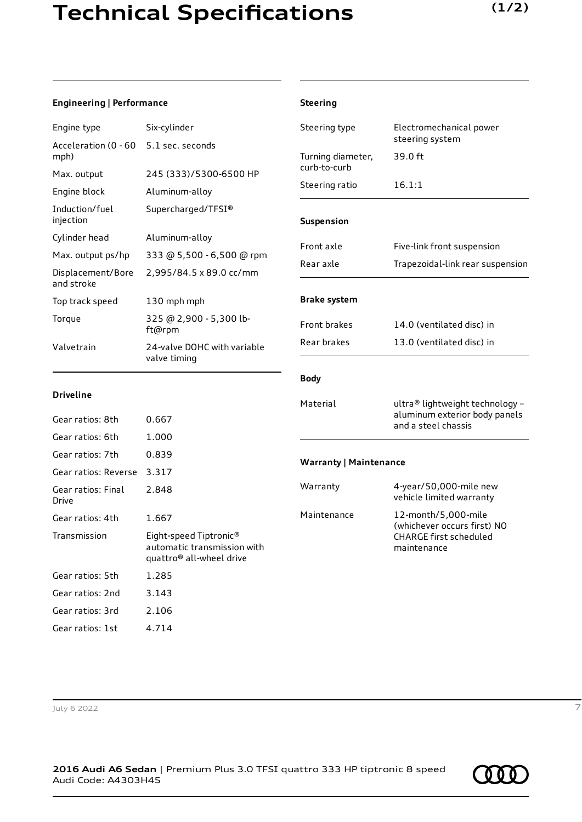## **Technical Specifications**

### **Engineering | Performance**

| Engine type                     | Six-cylinder                                |
|---------------------------------|---------------------------------------------|
| Acceleration (0 - 60<br>mph)    | 5.1 sec. seconds                            |
| Max. output                     | 245 (333)/5300-6500 HP                      |
| Engine block                    | Aluminum-alloy                              |
| Induction/fuel<br>injection     | Supercharged/TFSI®                          |
| Cylinder head                   | Aluminum-alloy                              |
| Max. output ps/hp               | 333 @ 5,500 - 6,500 @ rpm                   |
| Displacement/Bore<br>and stroke | 2,995/84.5 x 89.0 cc/mm                     |
| Top track speed                 | 130 mph mph                                 |
| Torque                          | 325 @ 2,900 - 5,300 lb-<br>ft@rpm           |
| Valvetrain                      | 24-valve DOHC with variable<br>valve timing |

| <b>Steering</b>                   |                                                                                             |  |
|-----------------------------------|---------------------------------------------------------------------------------------------|--|
| Steering type                     | Electromechanical power<br>steering system                                                  |  |
| Turning diameter,<br>curb-to-curb | 39.0 ft                                                                                     |  |
| Steering ratio                    | 16.1:1                                                                                      |  |
| Suspension                        |                                                                                             |  |
| Front axle                        | Five-link front suspension                                                                  |  |
| Rear axle                         | Trapezoidal-link rear suspension                                                            |  |
| <b>Brake system</b>               |                                                                                             |  |
| <b>Front brakes</b>               | 14.0 (ventilated disc) in                                                                   |  |
| Rear brakes                       | 13.0 (ventilated disc) in                                                                   |  |
| <b>Body</b>                       |                                                                                             |  |
| Material                          | ultra® lightweight technology -<br>aluminum exterior body panels<br>and a steel chassis     |  |
| <b>Warranty   Maintenance</b>     |                                                                                             |  |
| Warranty                          | 4-year/50,000-mile new<br>vehicle limited warranty                                          |  |
| Maintenance                       | 12-month/5,000-mile<br>(whichever occurs first) NO<br>CHARGE first scheduled<br>maintenance |  |

#### **Driveline**

| Gear ratios: 8th            | 0.667                                                                                         |
|-----------------------------|-----------------------------------------------------------------------------------------------|
| Gear ratios: 6th            | 1.000                                                                                         |
| Gear ratios: 7th            | 0.839                                                                                         |
| Gear ratios: Reverse        | 3.317                                                                                         |
| Gear ratios: Final<br>Drive | 2.848                                                                                         |
| Gear ratios: 4th            | 1.667                                                                                         |
| Transmission                | Eight-speed Tiptronic®<br>automatic transmission with<br>quattro <sup>®</sup> all-wheel drive |
| Gear ratios: 5th            | 1.285                                                                                         |
| Gear ratios: 2nd            | 3.143                                                                                         |
| Gear ratios: 3rd            | 2.106                                                                                         |
| Gear ratios: 1st            | 4.714                                                                                         |

#### July 6 2022 7

**2016 Audi A6 Sedan** | Premium Plus 3.0 TFSI quattro 333 HP tiptronic 8 speed Audi Code: A4303H45

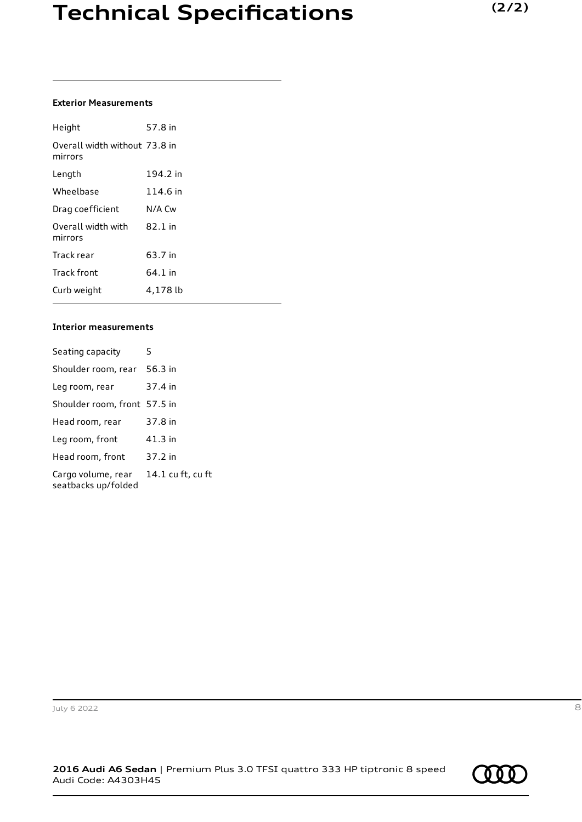### **Exterior Measurements**

| Height                                   | 57.8 in  |
|------------------------------------------|----------|
| Overall width without 73.8 in<br>mirrors |          |
| Length                                   | 194.2 in |
| Wheelbase                                | 114.6 in |
| Drag coefficient                         | N/A Cw   |
| Overall width with<br>mirrors            | 82.1 in  |
| Track rear                               | 63.7 in  |
| Track front                              | 64.1 in  |
| Curb weight                              | 4,178 lb |

### **Interior measurements**

| Seating capacity                          | 5                 |
|-------------------------------------------|-------------------|
| Shoulder room, rear                       | 56.3 in           |
| Leg room, rear                            | 37.4 in           |
| Shoulder room, front 57.5 in              |                   |
| Head room, rear                           | 37.8 in           |
| Leg room, front                           | $41.3$ in         |
| Head room, front                          | 37.2 in           |
| Cargo volume, rear<br>seatbacks up/folded | 14.1 cu ft, cu ft |

July 6 2022 8

**2016 Audi A6 Sedan** | Premium Plus 3.0 TFSI quattro 333 HP tiptronic 8 speed Audi Code: A4303H45

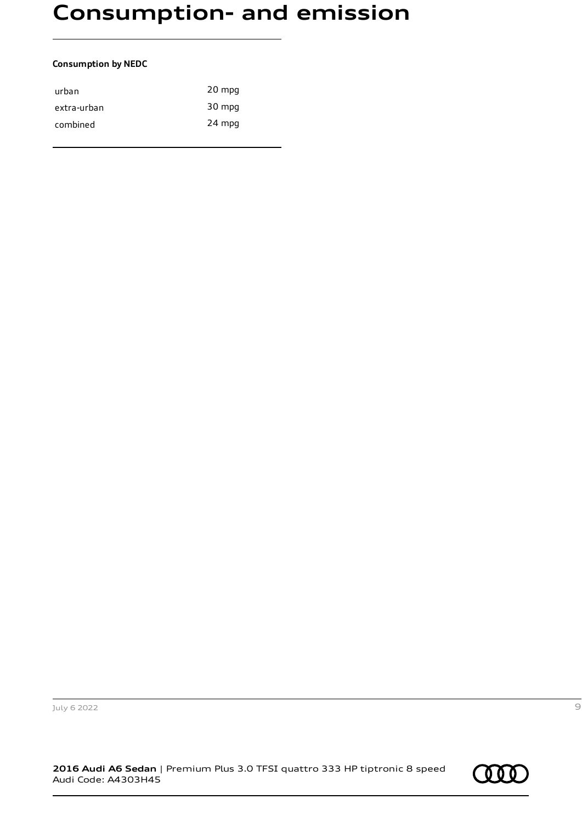# **Consumption- and emission**

#### **Consumption by NEDC**

| urban       | 20 mpg |
|-------------|--------|
| extra-urban | 30 mpg |
| combined    | 24 mpg |
|             |        |

July 6 2022 9

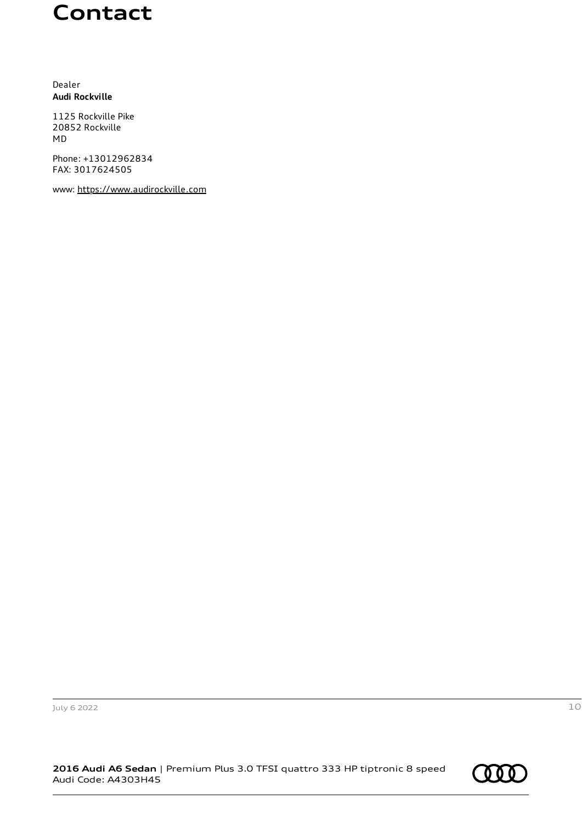### **Contact**

Dealer **Audi Rockville**

1125 Rockville Pike 20852 Rockville MD

Phone: +13012962834 FAX: 3017624505

www: [https://www.audirockville.com](https://www.audirockville.com/)

July 6 2022 10